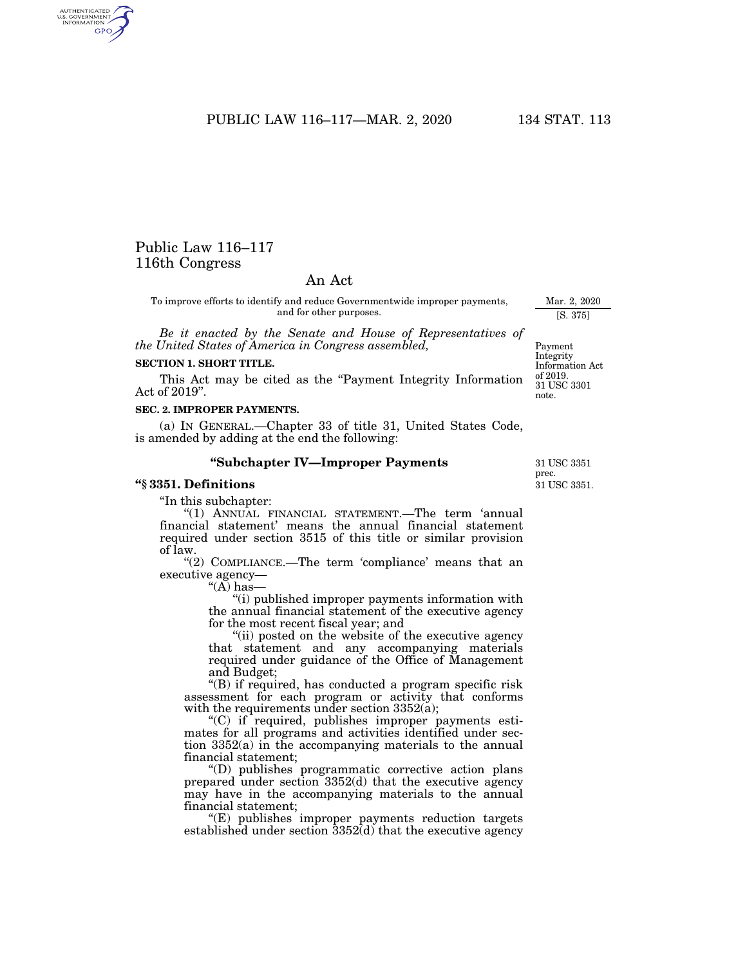PUBLIC LAW 116–117—MAR. 2, 2020 134 STAT. 113

# Public Law 116–117 116th Congress

AUTHENTICATED<br>U.S. GOVERNMENT<br>INFORMATION **GPO** 

## An Act

To improve efforts to identify and reduce Governmentwide improper payments, and for other purposes.

*Be it enacted by the Senate and House of Representatives of the United States of America in Congress assembled,* 

### **SECTION 1. SHORT TITLE.**

This Act may be cited as the ''Payment Integrity Information Act of 2019''.

#### **SEC. 2. IMPROPER PAYMENTS.**

(a) IN GENERAL.—Chapter 33 of title 31, United States Code, is amended by adding at the end the following:

#### **''Subchapter IV—Improper Payments**

### **''§ 3351. Definitions**

''In this subchapter:

''(1) ANNUAL FINANCIAL STATEMENT.—The term 'annual financial statement' means the annual financial statement required under section 3515 of this title or similar provision of law.

"(2) COMPLIANCE.—The term 'compliance' means that an executive agency—

''(A) has—

"(i) published improper payments information with the annual financial statement of the executive agency for the most recent fiscal year; and

"(ii) posted on the website of the executive agency that statement and any accompanying materials required under guidance of the Office of Management and Budget;

"(B) if required, has conducted a program specific risk assessment for each program or activity that conforms with the requirements under section 3352(a);

''(C) if required, publishes improper payments estimates for all programs and activities identified under section 3352(a) in the accompanying materials to the annual financial statement;

''(D) publishes programmatic corrective action plans prepared under section 3352(d) that the executive agency may have in the accompanying materials to the annual financial statement;

''(E) publishes improper payments reduction targets established under section 3352(d) that the executive agency

31 USC 3351. 31 USC 3351 prec.

Mar. 2, 2020 [S. 375]

Payment Integrity Information Act of 2019. 31 USC 3301 note.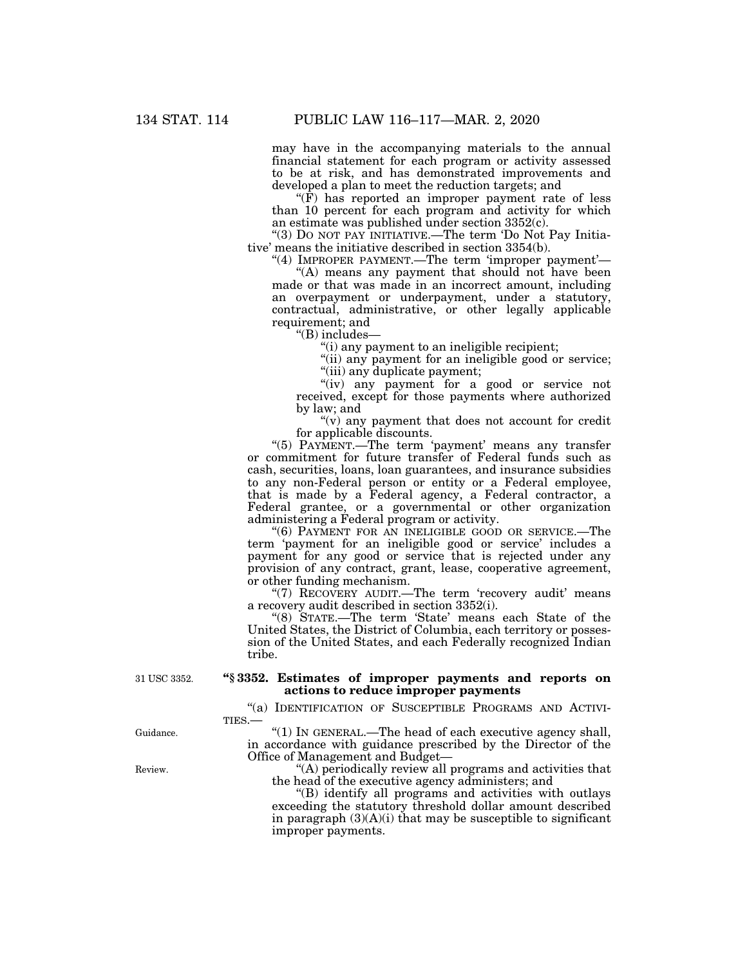may have in the accompanying materials to the annual financial statement for each program or activity assessed to be at risk, and has demonstrated improvements and developed a plan to meet the reduction targets; and

 $\mathcal{F}(\bar{F})$  has reported an improper payment rate of less than 10 percent for each program and activity for which an estimate was published under section 3352(c).

''(3) DO NOT PAY INITIATIVE.—The term 'Do Not Pay Initiative' means the initiative described in section 3354(b).

"(4) IMPROPER PAYMENT.—The term 'improper payment'—

"(A) means any payment that should not have been made or that was made in an incorrect amount, including an overpayment or underpayment, under a statutory, contractual, administrative, or other legally applicable requirement; and

''(B) includes—

''(i) any payment to an ineligible recipient;

"(ii) any payment for an ineligible good or service; ''(iii) any duplicate payment;

"(iv) any payment for a good or service not received, except for those payments where authorized by law; and

" $(v)$  any payment that does not account for credit for applicable discounts.

"(5) PAYMENT.—The term 'payment' means any transfer or commitment for future transfer of Federal funds such as cash, securities, loans, loan guarantees, and insurance subsidies to any non-Federal person or entity or a Federal employee, that is made by a Federal agency, a Federal contractor, a Federal grantee, or a governmental or other organization administering a Federal program or activity.

"(6) PAYMENT FOR AN INELIGIBLE GOOD OR SERVICE.—The term 'payment for an ineligible good or service' includes a payment for any good or service that is rejected under any provision of any contract, grant, lease, cooperative agreement, or other funding mechanism.

"(7) RECOVERY AUDIT.—The term 'recovery audit' means a recovery audit described in section 3352(i).

''(8) STATE.—The term 'State' means each State of the United States, the District of Columbia, each territory or possession of the United States, and each Federally recognized Indian tribe.

31 USC 3352.

### **''§ 3352. Estimates of improper payments and reports on actions to reduce improper payments**

"(a) IDENTIFICATION OF SUSCEPTIBLE PROGRAMS AND ACTIVI-TIES.—

''(1) IN GENERAL.—The head of each executive agency shall, in accordance with guidance prescribed by the Director of the Office of Management and Budget—

''(A) periodically review all programs and activities that the head of the executive agency administers; and

''(B) identify all programs and activities with outlays exceeding the statutory threshold dollar amount described in paragraph  $(3)(A)(i)$  that may be susceptible to significant improper payments.

Guidance.

Review.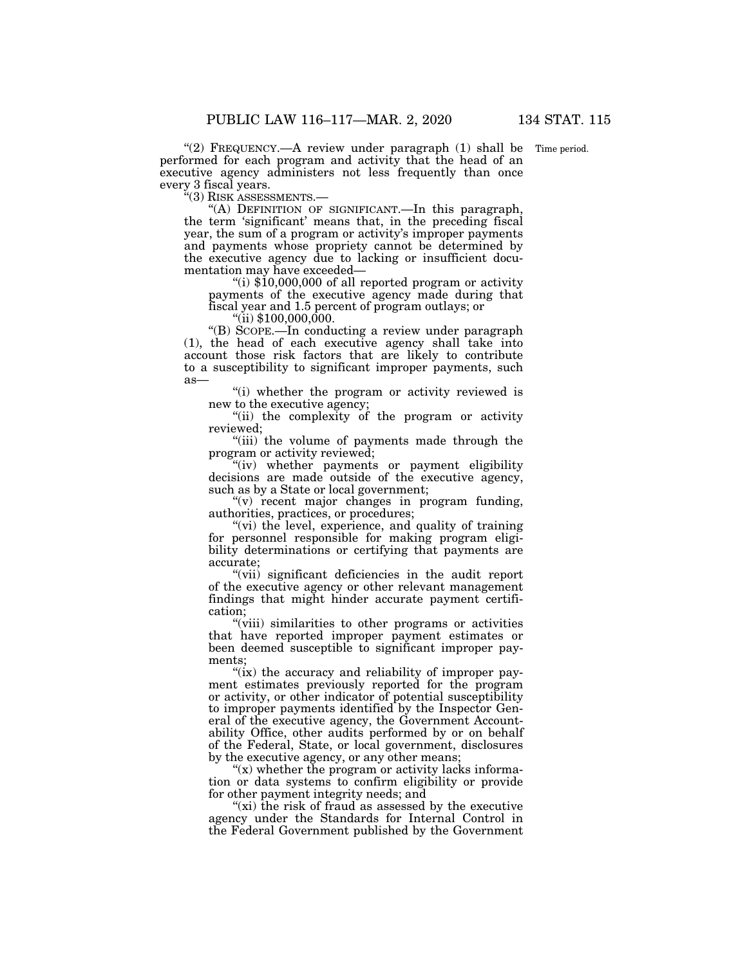"(2) FREQUENCY.—A review under paragraph (1) shall be Time period. performed for each program and activity that the head of an executive agency administers not less frequently than once every 3 fiscal years.<br>"(3) RISK ASSESSMENTS.-

"(A) DEFINITION OF SIGNIFICANT.—In this paragraph, the term 'significant' means that, in the preceding fiscal year, the sum of a program or activity's improper payments and payments whose propriety cannot be determined by the executive agency due to lacking or insufficient docu-

"(i)  $$10,000,000$  of all reported program or activity payments of the executive agency made during that fiscal year and 1.5 percent of program outlays; or ''(ii) \$100,000,000.

''(B) SCOPE.—In conducting a review under paragraph (1), the head of each executive agency shall take into account those risk factors that are likely to contribute to a susceptibility to significant improper payments, such as—

"(i) whether the program or activity reviewed is new to the executive agency;

''(ii) the complexity of the program or activity reviewed;

''(iii) the volume of payments made through the program or activity reviewed;

''(iv) whether payments or payment eligibility decisions are made outside of the executive agency, such as by a State or local government;

 $(v)$  recent major changes in program funding, authorities, practices, or procedures;

"(vi) the level, experience, and quality of training for personnel responsible for making program eligibility determinations or certifying that payments are accurate;

"(vii) significant deficiencies in the audit report of the executive agency or other relevant management findings that might hinder accurate payment certification;

"(viii) similarities to other programs or activities that have reported improper payment estimates or been deemed susceptible to significant improper payments;

"(ix) the accuracy and reliability of improper payment estimates previously reported for the program or activity, or other indicator of potential susceptibility to improper payments identified by the Inspector General of the executive agency, the Government Accountability Office, other audits performed by or on behalf of the Federal, State, or local government, disclosures by the executive agency, or any other means;

" $(x)$  whether the program or activity lacks information or data systems to confirm eligibility or provide for other payment integrity needs; and

" $(xi)$  the risk of fraud as assessed by the executive agency under the Standards for Internal Control in the Federal Government published by the Government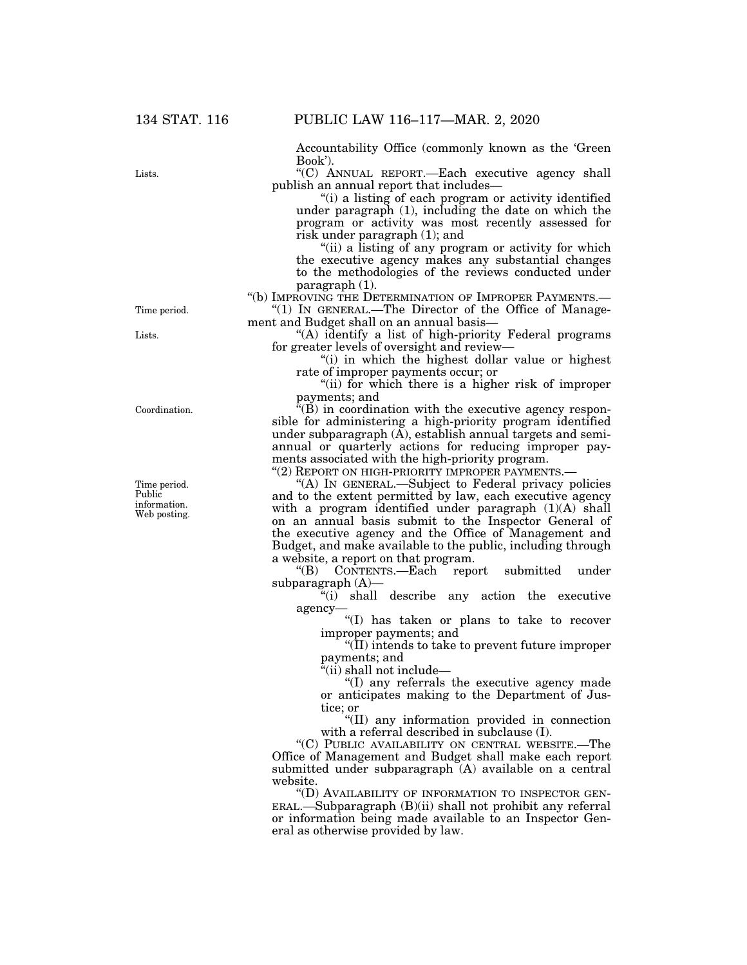Accountability Office (commonly known as the 'Green Book').

''(C) ANNUAL REPORT.—Each executive agency shall publish an annual report that includes—

"(i) a listing of each program or activity identified under paragraph (1), including the date on which the program or activity was most recently assessed for risk under paragraph (1); and

"(ii) a listing of any program or activity for which the executive agency makes any substantial changes to the methodologies of the reviews conducted under paragraph (1).

''(b) IMPROVING THE DETERMINATION OF IMPROPER PAYMENTS.—

''(1) IN GENERAL.—The Director of the Office of Management and Budget shall on an annual basis—

"(A) identify a list of high-priority Federal programs for greater levels of oversight and review—

''(i) in which the highest dollar value or highest rate of improper payments occur; or

''(ii) for which there is a higher risk of improper payments; and

''(B) in coordination with the executive agency responsible for administering a high-priority program identified under subparagraph  $(A)$ , establish annual targets and semiannual or quarterly actions for reducing improper payments associated with the high-priority program.

"(2) REPORT ON HIGH-PRIORITY IMPROPER PAYMENTS.-

''(A) IN GENERAL.—Subject to Federal privacy policies and to the extent permitted by law, each executive agency with a program identified under paragraph  $(1)(A)$  shall on an annual basis submit to the Inspector General of the executive agency and the Office of Management and Budget, and make available to the public, including through a website, a report on that program.

"(B) CONTENTS.—Each report submitted under subparagraph (A)—

 $\tilde{f}(i)$  shall describe any action the executive agency—

''(I) has taken or plans to take to recover improper payments; and

''(II) intends to take to prevent future improper payments; and

''(ii) shall not include—

''(I) any referrals the executive agency made or anticipates making to the Department of Justice; or

''(II) any information provided in connection with a referral described in subclause (I).

''(C) PUBLIC AVAILABILITY ON CENTRAL WEBSITE.—The Office of Management and Budget shall make each report submitted under subparagraph (A) available on a central website.

''(D) AVAILABILITY OF INFORMATION TO INSPECTOR GEN-ERAL.—Subparagraph (B)(ii) shall not prohibit any referral or information being made available to an Inspector General as otherwise provided by law.

Time period.

Lists.

Lists.

Coordination.

Time period. Public information. Web posting.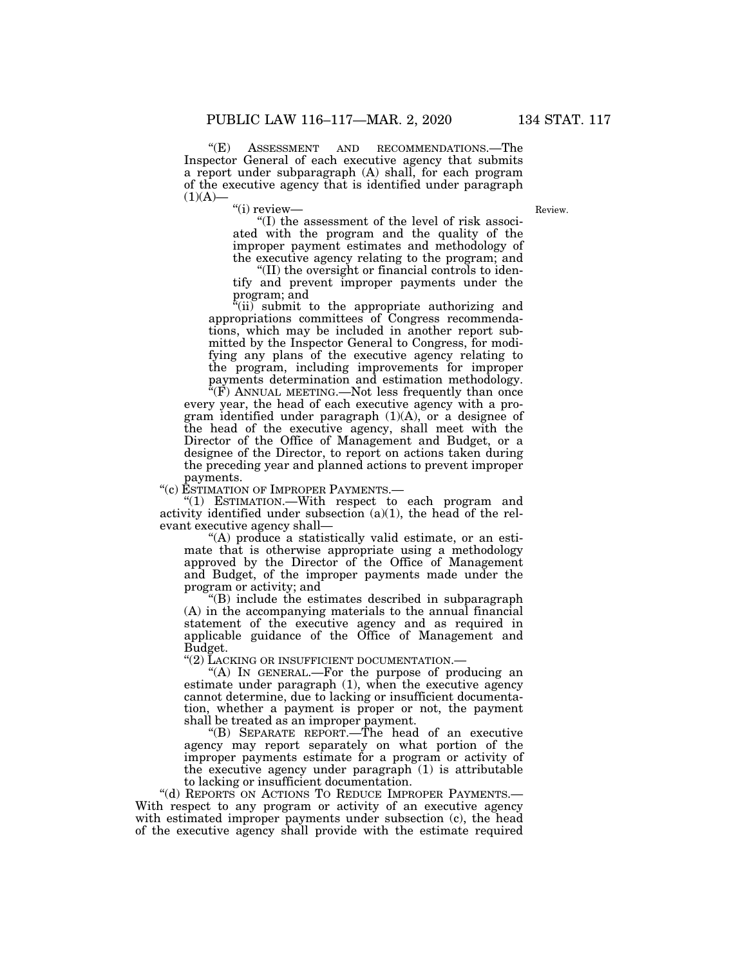"(E) ASSESSMENT AND RECOMMENDATIONS.—The Inspector General of each executive agency that submits a report under subparagraph (A) shall, for each program of the executive agency that is identified under paragraph  $(1)(A)$ 

"(i) review-

Review.

''(I) the assessment of the level of risk associated with the program and the quality of the improper payment estimates and methodology of the executive agency relating to the program; and

''(II) the oversight or financial controls to identify and prevent improper payments under the program; and

''(ii) submit to the appropriate authorizing and appropriations committees of Congress recommendations, which may be included in another report submitted by the Inspector General to Congress, for modifying any plans of the executive agency relating to the program, including improvements for improper payments determination and estimation methodology.

 $\sqrt[\text{F}]{(F)}$  ANNUAL MEETING.—Not less frequently than once every year, the head of each executive agency with a program identified under paragraph (1)(A), or a designee of the head of the executive agency, shall meet with the Director of the Office of Management and Budget, or a designee of the Director, to report on actions taken during the preceding year and planned actions to prevent improper payments.

''(c) ESTIMATION OF IMPROPER PAYMENTS.—

"(1) ESTIMATION.—With respect to each program and activity identified under subsection  $(a)(1)$ , the head of the relevant executive agency shall—

''(A) produce a statistically valid estimate, or an estimate that is otherwise appropriate using a methodology approved by the Director of the Office of Management and Budget, of the improper payments made under the program or activity; and

''(B) include the estimates described in subparagraph (A) in the accompanying materials to the annual financial statement of the executive agency and as required in applicable guidance of the Office of Management and Budget.

''(2) LACKING OR INSUFFICIENT DOCUMENTATION.—

"(A) IN GENERAL.—For the purpose of producing an estimate under paragraph (1), when the executive agency cannot determine, due to lacking or insufficient documentation, whether a payment is proper or not, the payment shall be treated as an improper payment.

''(B) SEPARATE REPORT.—The head of an executive agency may report separately on what portion of the improper payments estimate for a program or activity of the executive agency under paragraph  $(1)$  is attributable to lacking or insufficient documentation.

"(d) REPORTS ON ACTIONS TO REDUCE IMPROPER PAYMENTS.-With respect to any program or activity of an executive agency with estimated improper payments under subsection (c), the head of the executive agency shall provide with the estimate required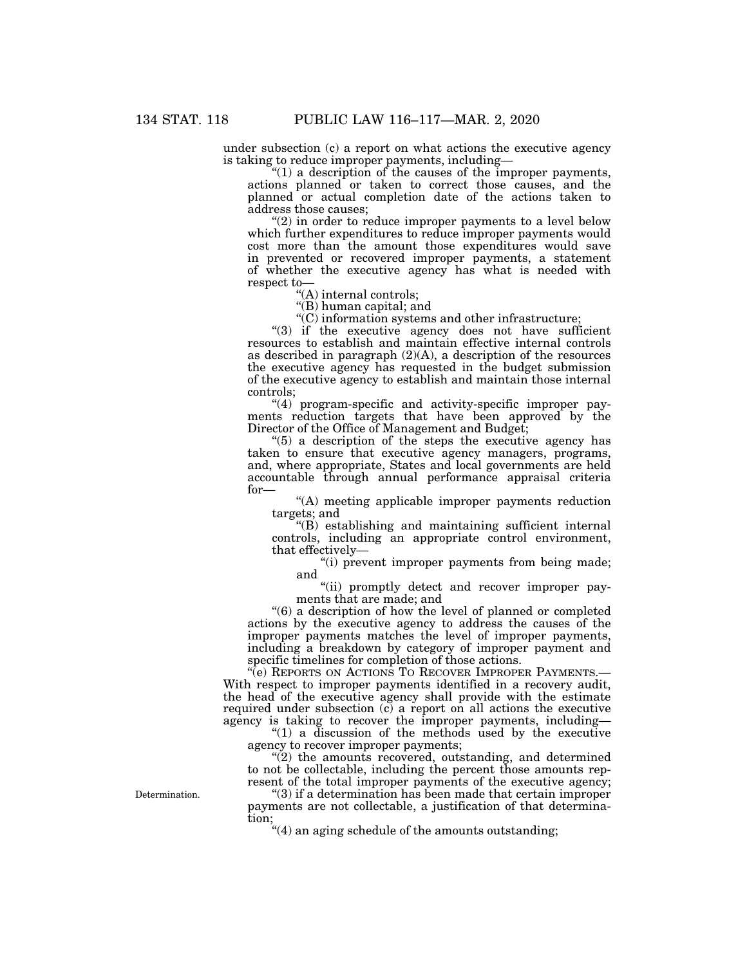under subsection (c) a report on what actions the executive agency is taking to reduce improper payments, including—

" $(1)$  a description of the causes of the improper payments, actions planned or taken to correct those causes, and the planned or actual completion date of the actions taken to address those causes;

"(2) in order to reduce improper payments to a level below which further expenditures to reduce improper payments would cost more than the amount those expenditures would save in prevented or recovered improper payments, a statement of whether the executive agency has what is needed with respect to—

''(A) internal controls;

''(B) human capital; and

''(C) information systems and other infrastructure;

"(3) if the executive agency does not have sufficient resources to establish and maintain effective internal controls as described in paragraph  $(2)(A)$ , a description of the resources the executive agency has requested in the budget submission of the executive agency to establish and maintain those internal controls;

''(4) program-specific and activity-specific improper payments reduction targets that have been approved by the Director of the Office of Management and Budget;

 $(5)$  a description of the steps the executive agency has taken to ensure that executive agency managers, programs, and, where appropriate, States and local governments are held accountable through annual performance appraisal criteria for—

''(A) meeting applicable improper payments reduction targets; and

''(B) establishing and maintaining sufficient internal controls, including an appropriate control environment, that effectively—

''(i) prevent improper payments from being made; and

''(ii) promptly detect and recover improper payments that are made; and

''(6) a description of how the level of planned or completed actions by the executive agency to address the causes of the improper payments matches the level of improper payments, including a breakdown by category of improper payment and specific timelines for completion of those actions.

"(e) REPORTS ON ACTIONS TO RECOVER IMPROPER PAYMENTS.— With respect to improper payments identified in a recovery audit, the head of the executive agency shall provide with the estimate required under subsection (c) a report on all actions the executive agency is taking to recover the improper payments, including—

''(1) a discussion of the methods used by the executive agency to recover improper payments;

 $\tilde{P}(2)$  the amounts recovered, outstanding, and determined to not be collectable, including the percent those amounts represent of the total improper payments of the executive agency;

''(3) if a determination has been made that certain improper payments are not collectable, a justification of that determination;

''(4) an aging schedule of the amounts outstanding;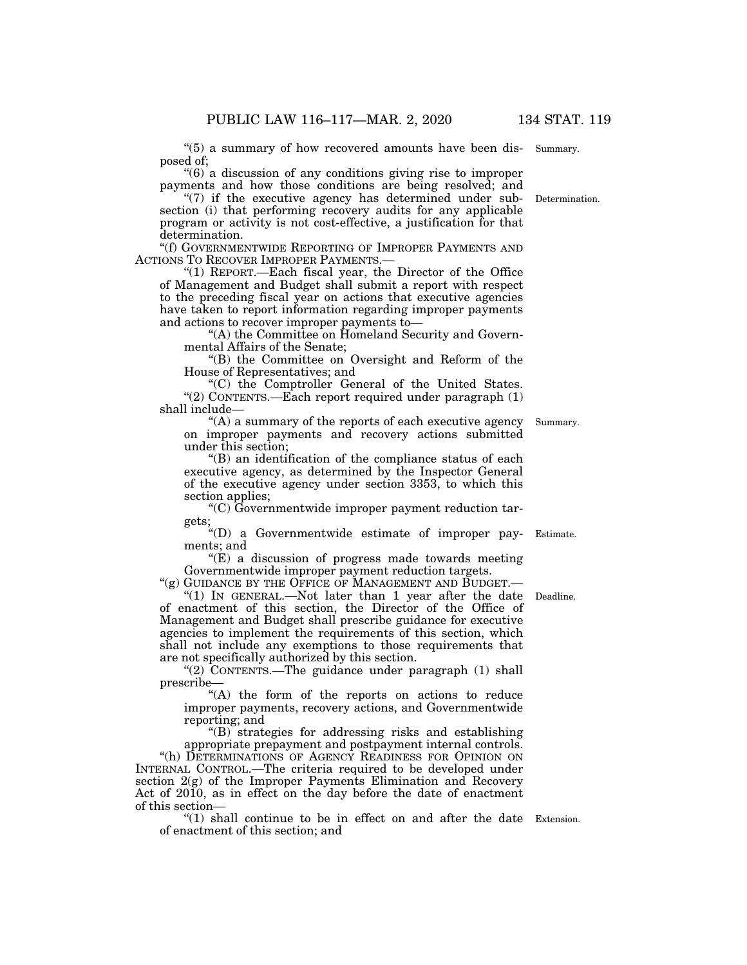"(5) a summary of how recovered amounts have been dis- Summary. posed of;

''(6) a discussion of any conditions giving rise to improper payments and how those conditions are being resolved; and

"(7) if the executive agency has determined under sub- Determination. section (i) that performing recovery audits for any applicable program or activity is not cost-effective, a justification for that determination.

''(f) GOVERNMENTWIDE REPORTING OF IMPROPER PAYMENTS AND ACTIONS TO RECOVER IMPROPER PAYMENTS.—

''(1) REPORT.—Each fiscal year, the Director of the Office of Management and Budget shall submit a report with respect to the preceding fiscal year on actions that executive agencies have taken to report information regarding improper payments and actions to recover improper payments to—

"(A) the Committee on Homeland Security and Governmental Affairs of the Senate;

''(B) the Committee on Oversight and Reform of the House of Representatives; and

''(C) the Comptroller General of the United States. "(2) CONTENTS.—Each report required under paragraph  $(1)$ shall include—

 $!(A)$  a summary of the reports of each executive agency on improper payments and recovery actions submitted under this section;

''(B) an identification of the compliance status of each executive agency, as determined by the Inspector General of the executive agency under section 3353, to which this section applies;

''(C) Governmentwide improper payment reduction targets;

''(D) a Governmentwide estimate of improper pay-Estimate. ments; and

" $(E)$  a discussion of progress made towards meeting Governmentwide improper payment reduction targets.

"(g) GUIDANCE BY THE OFFICE OF MANAGEMENT AND BUDGET.—

"(1) IN GENERAL.—Not later than 1 year after the date Deadline. of enactment of this section, the Director of the Office of Management and Budget shall prescribe guidance for executive agencies to implement the requirements of this section, which shall not include any exemptions to those requirements that are not specifically authorized by this section.

"(2) CONTENTS.—The guidance under paragraph (1) shall prescribe—

"(A) the form of the reports on actions to reduce improper payments, recovery actions, and Governmentwide reporting; and

''(B) strategies for addressing risks and establishing

appropriate prepayment and postpayment internal controls. "(h) DETERMINATIONS OF AGENCY READINESS FOR OPINION ON INTERNAL CONTROL.—The criteria required to be developed under section  $2(g)$  of the Improper Payments Elimination and Recovery Act of 2010, as in effect on the day before the date of enactment of this section—

" $(1)$  shall continue to be in effect on and after the date Extension. of enactment of this section; and

Summary.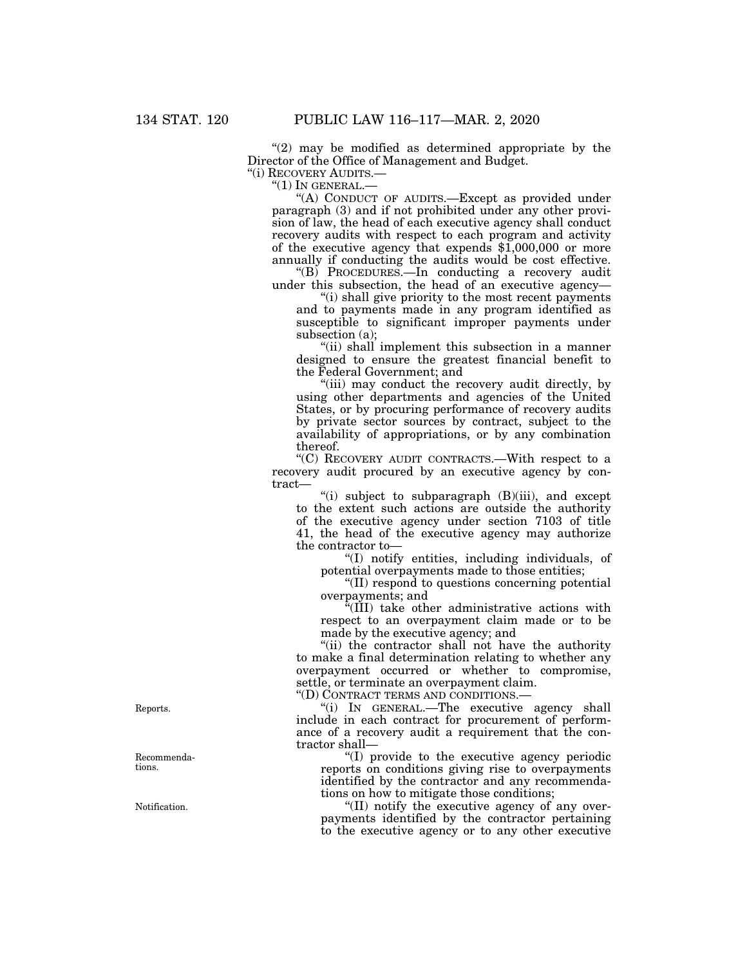" $(2)$  may be modified as determined appropriate by the Director of the Office of Management and Budget.

''(i) RECOVERY AUDITS.—

 $"(1)$  In GENERAL. $-$ 

''(A) CONDUCT OF AUDITS.—Except as provided under paragraph (3) and if not prohibited under any other provision of law, the head of each executive agency shall conduct recovery audits with respect to each program and activity of the executive agency that expends \$1,000,000 or more annually if conducting the audits would be cost effective.

''(B) PROCEDURES.—In conducting a recovery audit under this subsection, the head of an executive agency—

''(i) shall give priority to the most recent payments and to payments made in any program identified as susceptible to significant improper payments under subsection (a);

"(ii) shall implement this subsection in a manner designed to ensure the greatest financial benefit to the Federal Government; and

''(iii) may conduct the recovery audit directly, by using other departments and agencies of the United States, or by procuring performance of recovery audits by private sector sources by contract, subject to the availability of appropriations, or by any combination thereof.

''(C) RECOVERY AUDIT CONTRACTS.—With respect to a recovery audit procured by an executive agency by contract—

"(i) subject to subparagraph  $(B)(iii)$ , and except to the extent such actions are outside the authority of the executive agency under section 7103 of title 41, the head of the executive agency may authorize the contractor to—

''(I) notify entities, including individuals, of potential overpayments made to those entities;

''(II) respond to questions concerning potential overpayments; and

''(III) take other administrative actions with respect to an overpayment claim made or to be made by the executive agency; and

''(ii) the contractor shall not have the authority to make a final determination relating to whether any overpayment occurred or whether to compromise, settle, or terminate an overpayment claim.

''(D) CONTRACT TERMS AND CONDITIONS.—

''(i) IN GENERAL.—The executive agency shall include in each contract for procurement of performance of a recovery audit a requirement that the contractor shall—

''(I) provide to the executive agency periodic reports on conditions giving rise to overpayments identified by the contractor and any recommendations on how to mitigate those conditions;

''(II) notify the executive agency of any overpayments identified by the contractor pertaining to the executive agency or to any other executive

Reports.

Recommendations.

Notification.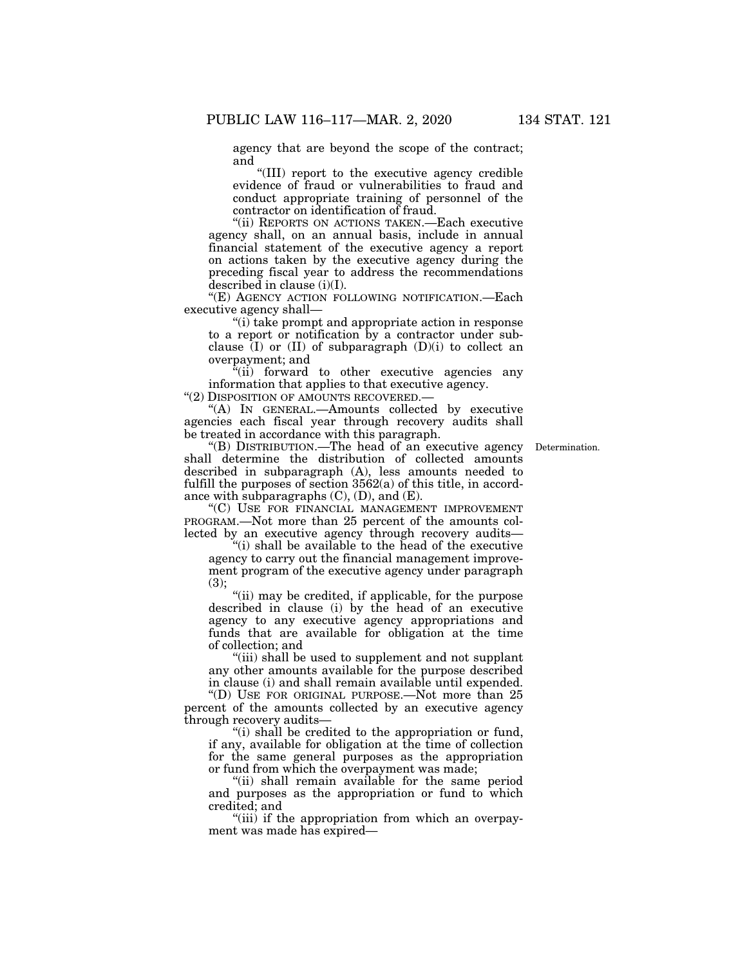agency that are beyond the scope of the contract; and

''(III) report to the executive agency credible evidence of fraud or vulnerabilities to fraud and conduct appropriate training of personnel of the contractor on identification of fraud.

''(ii) REPORTS ON ACTIONS TAKEN.—Each executive agency shall, on an annual basis, include in annual financial statement of the executive agency a report on actions taken by the executive agency during the preceding fiscal year to address the recommendations described in clause (i)(I).

''(E) AGENCY ACTION FOLLOWING NOTIFICATION.—Each executive agency shall—

''(i) take prompt and appropriate action in response to a report or notification by a contractor under subclause  $(I)$  or  $(II)$  of subparagraph  $(D)(i)$  to collect an overpayment; and

 $i$ <sup>\*</sup>(ii) forward to other executive agencies any information that applies to that executive agency.

''(2) DISPOSITION OF AMOUNTS RECOVERED.—

''(A) IN GENERAL.—Amounts collected by executive agencies each fiscal year through recovery audits shall be treated in accordance with this paragraph.

**Determination** 

''(B) DISTRIBUTION.—The head of an executive agency shall determine the distribution of collected amounts described in subparagraph (A), less amounts needed to fulfill the purposes of section  $3562(a)$  of this title, in accordance with subparagraphs  $(C)$ ,  $(D)$ , and  $(E)$ .

''(C) USE FOR FINANCIAL MANAGEMENT IMPROVEMENT PROGRAM.—Not more than 25 percent of the amounts collected by an executive agency through recovery audits—

''(i) shall be available to the head of the executive agency to carry out the financial management improvement program of the executive agency under paragraph (3);

''(ii) may be credited, if applicable, for the purpose described in clause (i) by the head of an executive agency to any executive agency appropriations and funds that are available for obligation at the time of collection; and

"(iii) shall be used to supplement and not supplant any other amounts available for the purpose described in clause (i) and shall remain available until expended.

''(D) USE FOR ORIGINAL PURPOSE.—Not more than 25 percent of the amounts collected by an executive agency through recovery audits—

''(i) shall be credited to the appropriation or fund, if any, available for obligation at the time of collection for the same general purposes as the appropriation or fund from which the overpayment was made;

''(ii) shall remain available for the same period and purposes as the appropriation or fund to which credited; and

"(iii) if the appropriation from which an overpayment was made has expired—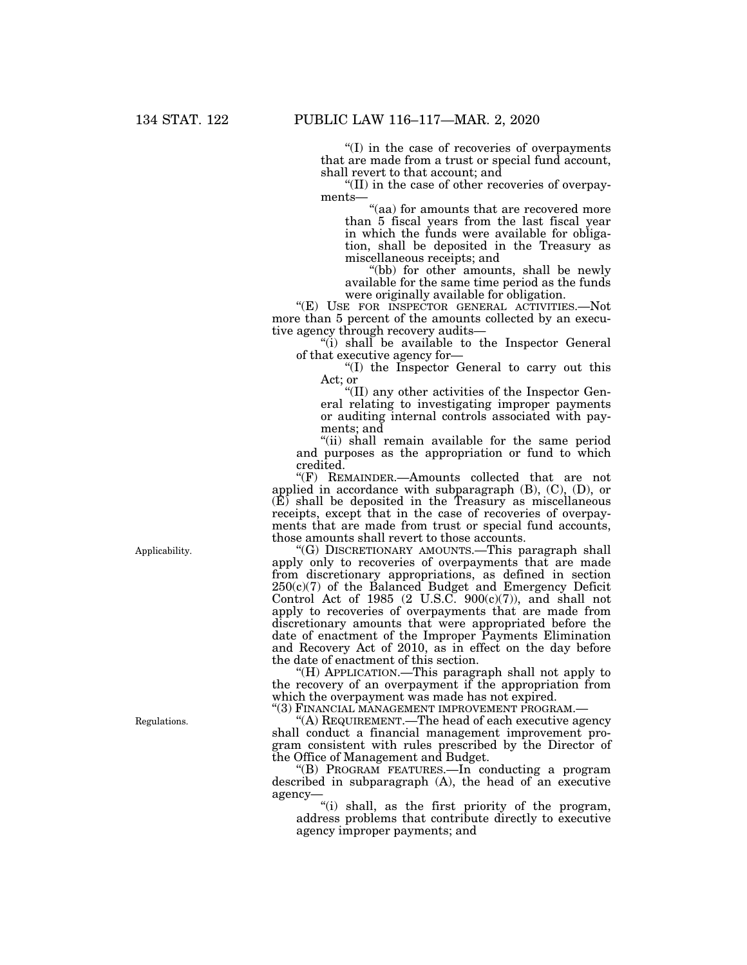''(I) in the case of recoveries of overpayments that are made from a trust or special fund account, shall revert to that account; and

''(II) in the case of other recoveries of overpayments—

"(aa) for amounts that are recovered more than 5 fiscal years from the last fiscal year in which the funds were available for obligation, shall be deposited in the Treasury as miscellaneous receipts; and

"(bb) for other amounts, shall be newly available for the same time period as the funds were originally available for obligation.

''(E) USE FOR INSPECTOR GENERAL ACTIVITIES.—Not more than 5 percent of the amounts collected by an executive agency through recovery audits—

''(i) shall be available to the Inspector General of that executive agency for—

''(I) the Inspector General to carry out this Act; or

''(II) any other activities of the Inspector General relating to investigating improper payments or auditing internal controls associated with payments; and

"(ii) shall remain available for the same period and purposes as the appropriation or fund to which credited.

''(F) REMAINDER.—Amounts collected that are not applied in accordance with subparagraph (B), (C), (D), or  $(E)$  shall be deposited in the Treasury as miscellaneous receipts, except that in the case of recoveries of overpayments that are made from trust or special fund accounts, those amounts shall revert to those accounts.

''(G) DISCRETIONARY AMOUNTS.—This paragraph shall apply only to recoveries of overpayments that are made from discretionary appropriations, as defined in section  $250(c)(7)$  of the Balanced Budget and Emergency Deficit Control Act of 1985  $(2 \text{ U.S.C. } 900(c)(7))$ , and shall not apply to recoveries of overpayments that are made from discretionary amounts that were appropriated before the date of enactment of the Improper Payments Elimination and Recovery Act of 2010, as in effect on the day before the date of enactment of this section.

''(H) APPLICATION.—This paragraph shall not apply to the recovery of an overpayment if the appropriation from which the overpayment was made has not expired.

''(3) FINANCIAL MANAGEMENT IMPROVEMENT PROGRAM.—

''(A) REQUIREMENT.—The head of each executive agency shall conduct a financial management improvement program consistent with rules prescribed by the Director of the Office of Management and Budget.

''(B) PROGRAM FEATURES.—In conducting a program described in subparagraph (A), the head of an executive agency—

''(i) shall, as the first priority of the program, address problems that contribute directly to executive agency improper payments; and

Applicability.

Regulations.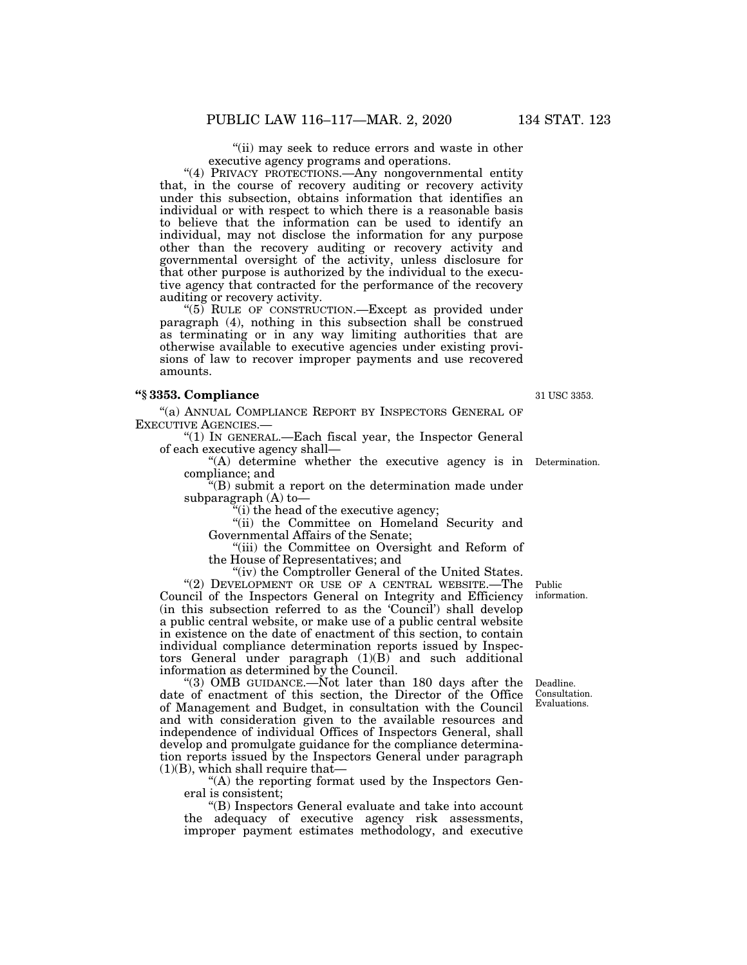"(ii) may seek to reduce errors and waste in other executive agency programs and operations.

"(4) PRIVACY PROTECTIONS.—Any nongovernmental entity that, in the course of recovery auditing or recovery activity under this subsection, obtains information that identifies an individual or with respect to which there is a reasonable basis to believe that the information can be used to identify an individual, may not disclose the information for any purpose other than the recovery auditing or recovery activity and governmental oversight of the activity, unless disclosure for that other purpose is authorized by the individual to the executive agency that contracted for the performance of the recovery auditing or recovery activity.

"(5) RULE OF CONSTRUCTION.—Except as provided under paragraph (4), nothing in this subsection shall be construed as terminating or in any way limiting authorities that are otherwise available to executive agencies under existing provisions of law to recover improper payments and use recovered amounts.

#### **''§ 3353. Compliance**

''(a) ANNUAL COMPLIANCE REPORT BY INSPECTORS GENERAL OF EXECUTIVE AGENCIES.—

''(1) IN GENERAL.—Each fiscal year, the Inspector General of each executive agency shall—

''(A) determine whether the executive agency is in Determination. compliance; and

 $f(B)$  submit a report on the determination made under subparagraph (A) to—

(i) the head of the executive agency;

''(ii) the Committee on Homeland Security and Governmental Affairs of the Senate;

''(iii) the Committee on Oversight and Reform of the House of Representatives; and

"(iv) the Comptroller General of the United States. "(2) DEVELOPMENT OR USE OF A CENTRAL WEBSITE.—The Council of the Inspectors General on Integrity and Efficiency (in this subsection referred to as the 'Council') shall develop a public central website, or make use of a public central website in existence on the date of enactment of this section, to contain individual compliance determination reports issued by Inspectors General under paragraph (1)(B) and such additional information as determined by the Council.

"(3) OMB GUIDANCE.—Not later than 180 days after the date of enactment of this section, the Director of the Office of Management and Budget, in consultation with the Council and with consideration given to the available resources and independence of individual Offices of Inspectors General, shall develop and promulgate guidance for the compliance determination reports issued by the Inspectors General under paragraph (1)(B), which shall require that—

''(A) the reporting format used by the Inspectors General is consistent;

''(B) Inspectors General evaluate and take into account the adequacy of executive agency risk assessments, improper payment estimates methodology, and executive

Public information.

Deadline. Consultation. Evaluations.

31 USC 3353.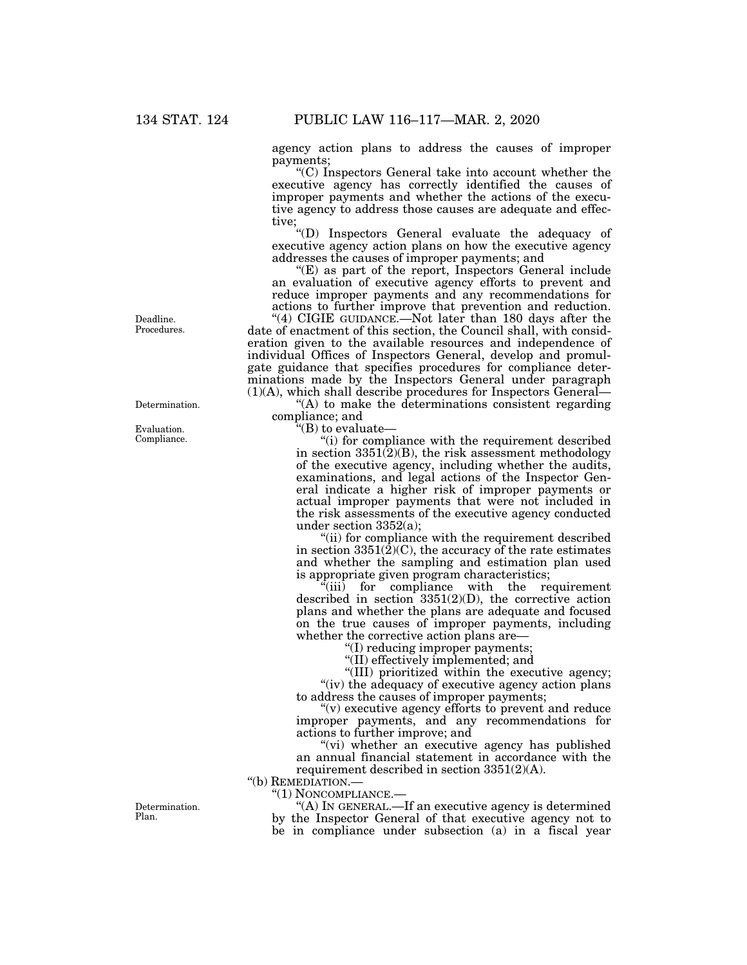agency action plans to address the causes of improper payments;

''(C) Inspectors General take into account whether the executive agency has correctly identified the causes of improper payments and whether the actions of the executive agency to address those causes are adequate and effective;

''(D) Inspectors General evaluate the adequacy of executive agency action plans on how the executive agency addresses the causes of improper payments; and

"(E) as part of the report, Inspectors General include an evaluation of executive agency efforts to prevent and reduce improper payments and any recommendations for actions to further improve that prevention and reduction.

"(4) CIGIE GUIDANCE.—Not later than 180 days after the date of enactment of this section, the Council shall, with consideration given to the available resources and independence of individual Offices of Inspectors General, develop and promulgate guidance that specifies procedures for compliance determinations made by the Inspectors General under paragraph (1)(A), which shall describe procedures for Inspectors General—

 $(A)$  to make the determinations consistent regarding compliance; and

''(B) to evaluate—

''(i) for compliance with the requirement described in section 3351(2)(B), the risk assessment methodology of the executive agency, including whether the audits, examinations, and legal actions of the Inspector General indicate a higher risk of improper payments or actual improper payments that were not included in the risk assessments of the executive agency conducted under section 3352(a);

''(ii) for compliance with the requirement described in section  $3351(\hat{2})(C)$ , the accuracy of the rate estimates and whether the sampling and estimation plan used is appropriate given program characteristics;

''(iii) for compliance with the requirement described in section 3351(2)(D), the corrective action plans and whether the plans are adequate and focused on the true causes of improper payments, including whether the corrective action plans are—

''(I) reducing improper payments;

''(II) effectively implemented; and

''(III) prioritized within the executive agency; "(iv) the adequacy of executive agency action plans to address the causes of improper payments;

" $(v)$  executive agency efforts to prevent and reduce improper payments, and any recommendations for actions to further improve; and

''(vi) whether an executive agency has published an annual financial statement in accordance with the requirement described in section 3351(2)(A).

''(b) REMEDIATION.—

''(1) NONCOMPLIANCE.—

''(A) IN GENERAL.—If an executive agency is determined by the Inspector General of that executive agency not to be in compliance under subsection (a) in a fiscal year

Deadline. Procedures.

Determination.

Evaluation. Compliance.

Determination. Plan.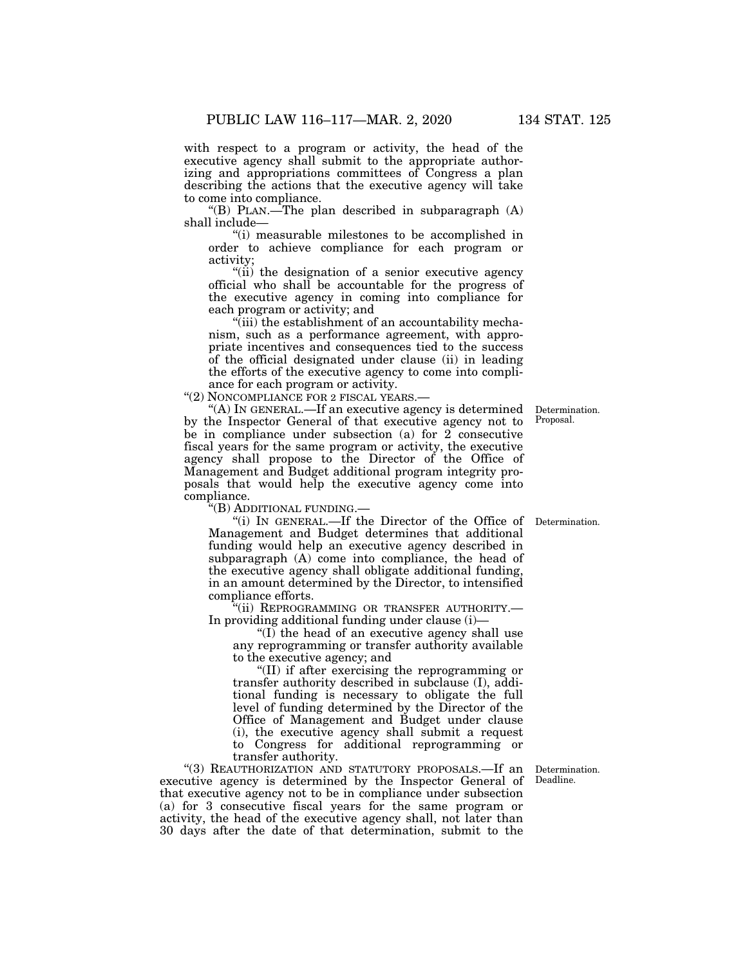with respect to a program or activity, the head of the executive agency shall submit to the appropriate authorizing and appropriations committees of Congress a plan describing the actions that the executive agency will take to come into compliance.

"(B) PLAN.—The plan described in subparagraph  $(A)$ shall include—

''(i) measurable milestones to be accomplished in order to achieve compliance for each program or activity;

"(ii) the designation of a senior executive agency official who shall be accountable for the progress of the executive agency in coming into compliance for each program or activity; and

''(iii) the establishment of an accountability mechanism, such as a performance agreement, with appropriate incentives and consequences tied to the success of the official designated under clause (ii) in leading the efforts of the executive agency to come into compliance for each program or activity.

"(2) NONCOMPLIANCE FOR 2 FISCAL YEARS.-

''(A) IN GENERAL.—If an executive agency is determined by the Inspector General of that executive agency not to be in compliance under subsection (a) for 2 consecutive fiscal years for the same program or activity, the executive agency shall propose to the Director of the Office of Management and Budget additional program integrity proposals that would help the executive agency come into compliance.

''(B) ADDITIONAL FUNDING.—

"(i) IN GENERAL.—If the Director of the Office of Determination. Management and Budget determines that additional funding would help an executive agency described in subparagraph (A) come into compliance, the head of the executive agency shall obligate additional funding, in an amount determined by the Director, to intensified compliance efforts.

''(ii) REPROGRAMMING OR TRANSFER AUTHORITY.— In providing additional funding under clause (i)—

''(I) the head of an executive agency shall use any reprogramming or transfer authority available to the executive agency; and

''(II) if after exercising the reprogramming or transfer authority described in subclause (I), additional funding is necessary to obligate the full level of funding determined by the Director of the Office of Management and Budget under clause (i), the executive agency shall submit a request to Congress for additional reprogramming or transfer authority.

''(3) REAUTHORIZATION AND STATUTORY PROPOSALS.—If an executive agency is determined by the Inspector General of that executive agency not to be in compliance under subsection (a) for 3 consecutive fiscal years for the same program or activity, the head of the executive agency shall, not later than 30 days after the date of that determination, submit to the

Determination. Deadline.

Determination. Proposal.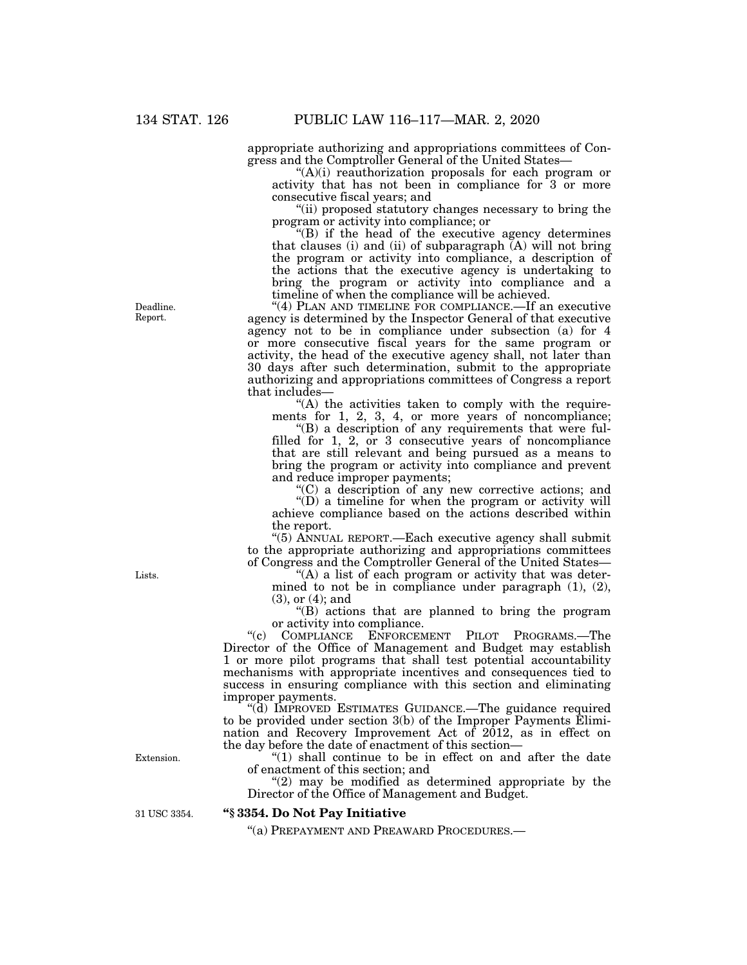appropriate authorizing and appropriations committees of Congress and the Comptroller General of the United States—

''(A)(i) reauthorization proposals for each program or activity that has not been in compliance for 3 or more consecutive fiscal years; and

''(ii) proposed statutory changes necessary to bring the program or activity into compliance; or

''(B) if the head of the executive agency determines that clauses (i) and (ii) of subparagraph  $\overline{A}$ ) will not bring the program or activity into compliance, a description of the actions that the executive agency is undertaking to bring the program or activity into compliance and a timeline of when the compliance will be achieved.

"(4) PLAN AND TIMELINE FOR COMPLIANCE.—If an executive agency is determined by the Inspector General of that executive agency not to be in compliance under subsection (a) for 4 or more consecutive fiscal years for the same program or activity, the head of the executive agency shall, not later than 30 days after such determination, submit to the appropriate authorizing and appropriations committees of Congress a report that includes—

 $(A)$  the activities taken to comply with the requirements for 1, 2, 3, 4, or more years of noncompliance;

''(B) a description of any requirements that were fulfilled for 1, 2, or 3 consecutive years of noncompliance that are still relevant and being pursued as a means to bring the program or activity into compliance and prevent and reduce improper payments;

''(C) a description of any new corrective actions; and

''(D) a timeline for when the program or activity will achieve compliance based on the actions described within the report.

''(5) ANNUAL REPORT.—Each executive agency shall submit to the appropriate authorizing and appropriations committees of Congress and the Comptroller General of the United States—

"(A) a list of each program or activity that was determined to not be in compliance under paragraph (1), (2), (3), or (4); and

''(B) actions that are planned to bring the program or activity into compliance.

''(c) COMPLIANCE ENFORCEMENT PILOT PROGRAMS.—The Director of the Office of Management and Budget may establish 1 or more pilot programs that shall test potential accountability mechanisms with appropriate incentives and consequences tied to success in ensuring compliance with this section and eliminating improper payments.

''(d) IMPROVED ESTIMATES GUIDANCE.—The guidance required to be provided under section 3(b) of the Improper Payments Elimination and Recovery Improvement Act of 2012, as in effect on the day before the date of enactment of this section—

" $(1)$  shall continue to be in effect on and after the date of enactment of this section; and

 $(2)$  may be modified as determined appropriate by the Director of the Office of Management and Budget.

31 USC 3354.

Extension.

#### **''§ 3354. Do Not Pay Initiative**

''(a) PREPAYMENT AND PREAWARD PROCEDURES.—

Deadline. Report.

Lists.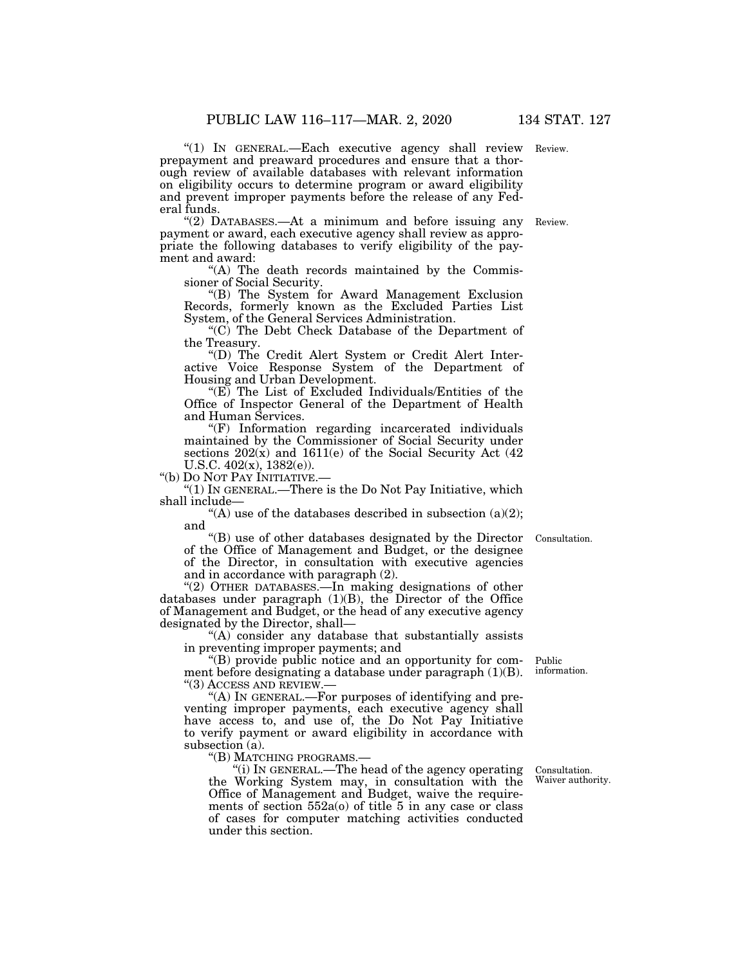"(1) IN GENERAL.—Each executive agency shall review Review. prepayment and preaward procedures and ensure that a thorough review of available databases with relevant information on eligibility occurs to determine program or award eligibility and prevent improper payments before the release of any Federal funds.

''(2) DATABASES.—At a minimum and before issuing any payment or award, each executive agency shall review as appropriate the following databases to verify eligibility of the payment and award:

''(A) The death records maintained by the Commissioner of Social Security.

''(B) The System for Award Management Exclusion Records, formerly known as the Excluded Parties List System, of the General Services Administration.

''(C) The Debt Check Database of the Department of the Treasury.

''(D) The Credit Alert System or Credit Alert Interactive Voice Response System of the Department of Housing and Urban Development.

"(E) The List of Excluded Individuals/Entities of the Office of Inspector General of the Department of Health and Human Services.

''(F) Information regarding incarcerated individuals maintained by the Commissioner of Social Security under sections  $202(x)$  and  $1611(e)$  of the Social Security Act  $(42)$ U.S.C. 402(x), 1382(e)).

''(b) DO NOT PAY INITIATIVE.—

''(1) IN GENERAL.—There is the Do Not Pay Initiative, which shall include—

"(A) use of the databases described in subsection (a)(2); and

''(B) use of other databases designated by the Director of the Office of Management and Budget, or the designee of the Director, in consultation with executive agencies and in accordance with paragraph (2).

''(2) OTHER DATABASES.—In making designations of other databases under paragraph (1)(B), the Director of the Office of Management and Budget, or the head of any executive agency designated by the Director, shall—

"(A) consider any database that substantially assists in preventing improper payments; and

''(B) provide public notice and an opportunity for comment before designating a database under paragraph (1)(B). ''(3) ACCESS AND REVIEW.—

''(A) IN GENERAL.—For purposes of identifying and preventing improper payments, each executive agency shall have access to, and use of, the Do Not Pay Initiative to verify payment or award eligibility in accordance with subsection (a).<br>"(B) MATCHING PROGRAMS.—

"(i) IN GENERAL.—The head of the agency operating the Working System may, in consultation with the Office of Management and Budget, waive the requirements of section  $552a(0)$  of title 5 in any case or class of cases for computer matching activities conducted under this section.

Consultation. Waiver authority.

Public information.

Consultation.

Review.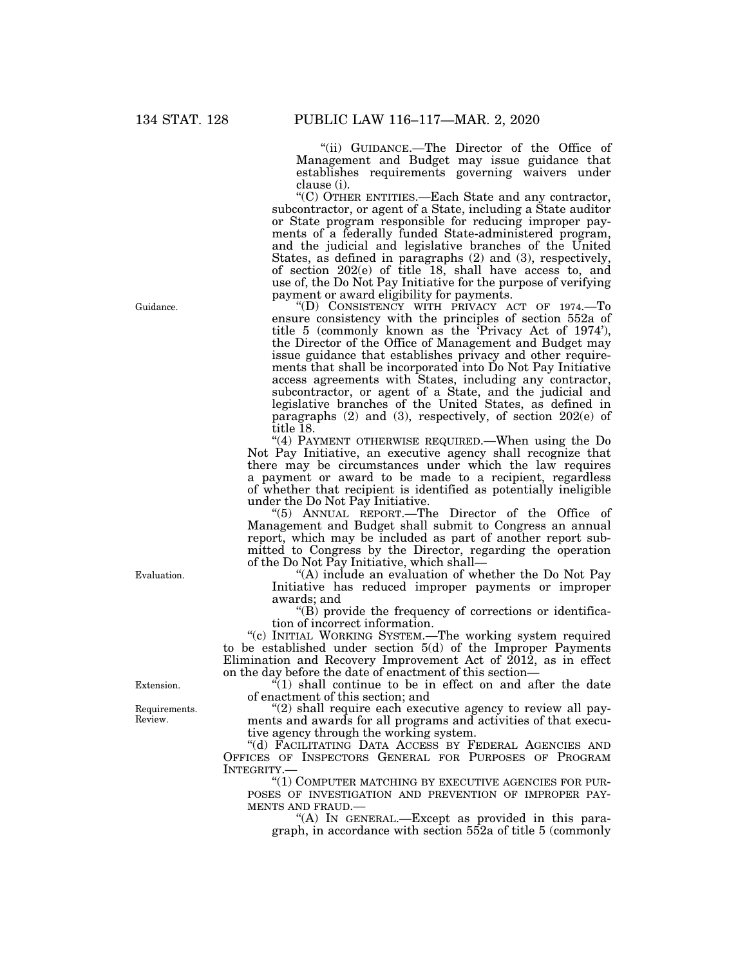''(ii) GUIDANCE.—The Director of the Office of Management and Budget may issue guidance that establishes requirements governing waivers under clause (i).

''(C) OTHER ENTITIES.—Each State and any contractor, subcontractor, or agent of a State, including a State auditor or State program responsible for reducing improper payments of a federally funded State-administered program, and the judicial and legislative branches of the United States, as defined in paragraphs (2) and (3), respectively, of section 202(e) of title 18, shall have access to, and use of, the Do Not Pay Initiative for the purpose of verifying payment or award eligibility for payments.

''(D) CONSISTENCY WITH PRIVACY ACT OF 1974.—To ensure consistency with the principles of section 552a of title 5 (commonly known as the 'Privacy Act of 1974'), the Director of the Office of Management and Budget may issue guidance that establishes privacy and other requirements that shall be incorporated into Do Not Pay Initiative access agreements with States, including any contractor, subcontractor, or agent of a State, and the judicial and legislative branches of the United States, as defined in paragraphs (2) and (3), respectively, of section 202(e) of title 18.

"(4) PAYMENT OTHERWISE REQUIRED.—When using the Do Not Pay Initiative, an executive agency shall recognize that there may be circumstances under which the law requires a payment or award to be made to a recipient, regardless of whether that recipient is identified as potentially ineligible under the Do Not Pay Initiative.

''(5) ANNUAL REPORT.—The Director of the Office of Management and Budget shall submit to Congress an annual report, which may be included as part of another report submitted to Congress by the Director, regarding the operation of the Do Not Pay Initiative, which shall—

''(A) include an evaluation of whether the Do Not Pay Initiative has reduced improper payments or improper awards; and

''(B) provide the frequency of corrections or identification of incorrect information.

''(c) INITIAL WORKING SYSTEM.—The working system required to be established under section  $5(d)$  of the Improper Payments Elimination and Recovery Improvement Act of 2012, as in effect on the day before the date of enactment of this section—

 $\sqrt[n]{(1)}$  shall continue to be in effect on and after the date of enactment of this section; and

 $''(2)$  shall require each executive agency to review all payments and awards for all programs and activities of that executive agency through the working system.

"(d) FACILITATING DATA ACCESS BY FEDERAL AGENCIES AND OFFICES OF INSPECTORS GENERAL FOR PURPOSES OF PROGRAM INTEGRITY.

''(1) COMPUTER MATCHING BY EXECUTIVE AGENCIES FOR PUR-POSES OF INVESTIGATION AND PREVENTION OF IMPROPER PAY-MENTS AND FRAUD.—<br>"(A) IN GENERAL.—Except as provided in this para-

graph, in accordance with section 552a of title 5 (commonly

Guidance.

Evaluation.

Extension.

Requirements. Review.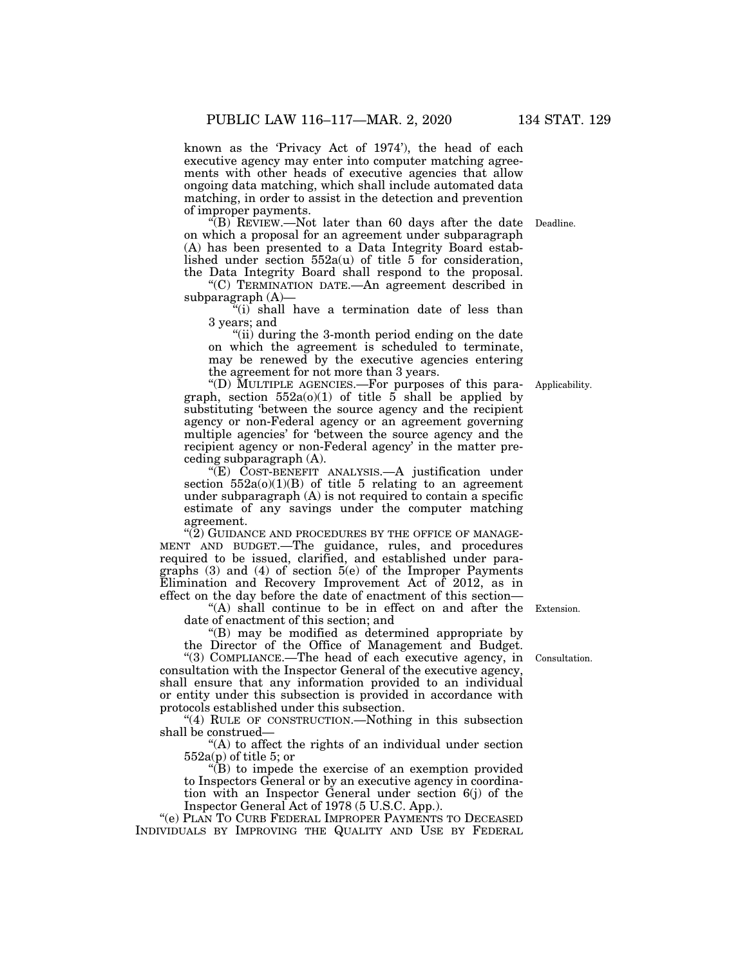known as the 'Privacy Act of 1974'), the head of each executive agency may enter into computer matching agreements with other heads of executive agencies that allow ongoing data matching, which shall include automated data matching, in order to assist in the detection and prevention of improper payments.

''(B) REVIEW.—Not later than 60 days after the date Deadline. on which a proposal for an agreement under subparagraph (A) has been presented to a Data Integrity Board established under section  $552a(u)$  of title 5 for consideration, the Data Integrity Board shall respond to the proposal.

''(C) TERMINATION DATE.—An agreement described in subparagraph (A)—

 $(i)$  shall have a termination date of less than 3 years; and

"(ii) during the 3-month period ending on the date on which the agreement is scheduled to terminate, may be renewed by the executive agencies entering the agreement for not more than 3 years.

''(D) MULTIPLE AGENCIES.—For purposes of this paragraph, section  $552a(0)(1)$  of title 5 shall be applied by substituting 'between the source agency and the recipient agency or non-Federal agency or an agreement governing multiple agencies' for 'between the source agency and the recipient agency or non-Federal agency' in the matter preceding subparagraph (A). Applicability.

"(E) COST-BENEFIT ANALYSIS.—A justification under section  $552a(0)(1)(B)$  of title 5 relating to an agreement under subparagraph  $(A)$  is not required to contain a specific estimate of any savings under the computer matching agreement.

"(2) GUIDANCE AND PROCEDURES BY THE OFFICE OF MANAGE-MENT AND BUDGET.—The guidance, rules, and procedures required to be issued, clarified, and established under paragraphs  $(3)$  and  $(4)$  of section  $5(e)$  of the Improper Payments Elimination and Recovery Improvement Act of 2012, as in effect on the day before the date of enactment of this section—

"(A) shall continue to be in effect on and after the Extension. date of enactment of this section; and

''(B) may be modified as determined appropriate by

the Director of the Office of Management and Budget. ''(3) COMPLIANCE.—The head of each executive agency, in consultation with the Inspector General of the executive agency, shall ensure that any information provided to an individual or entity under this subsection is provided in accordance with protocols established under this subsection. Consultation.

''(4) RULE OF CONSTRUCTION.—Nothing in this subsection shall be construed—

"(A) to affect the rights of an individual under section 552a(p) of title 5; or

 $\sqrt{\text{B}}$  to impede the exercise of an exemption provided to Inspectors General or by an executive agency in coordination with an Inspector General under section 6(j) of the Inspector General Act of 1978 (5 U.S.C. App.).

''(e) PLAN TO CURB FEDERAL IMPROPER PAYMENTS TO DECEASED INDIVIDUALS BY IMPROVING THE QUALITY AND USE BY FEDERAL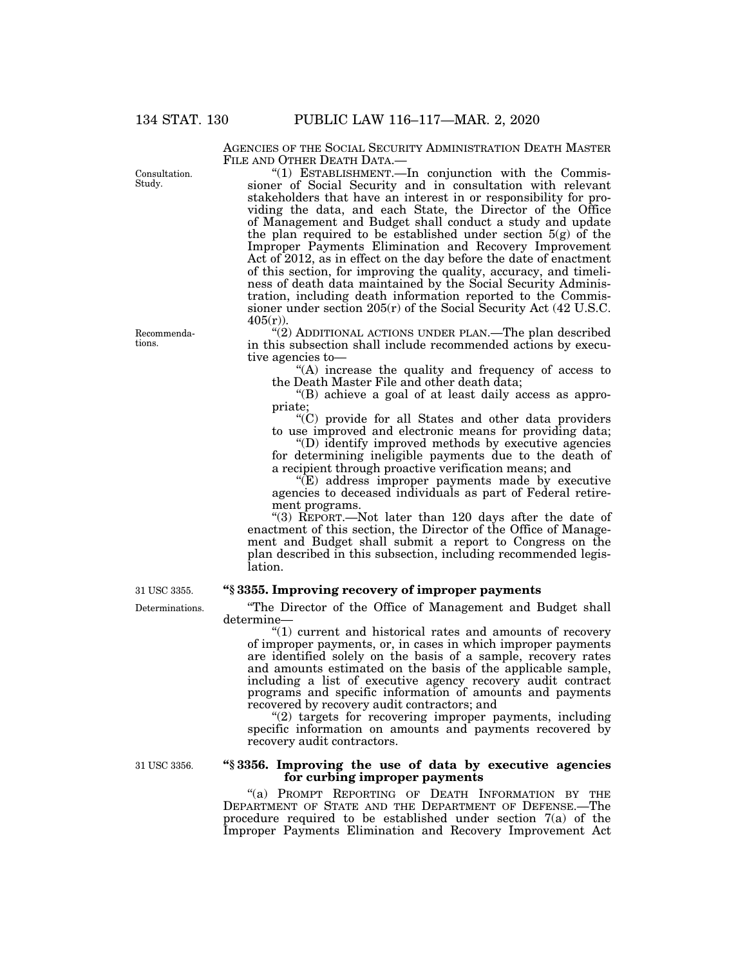Consultation. Study.

AGENCIES OF THE SOCIAL SECURITY ADMINISTRATION DEATH MASTER FILE AND OTHER DEATH DATA.—

"(1) ESTABLISHMENT.—In conjunction with the Commissioner of Social Security and in consultation with relevant stakeholders that have an interest in or responsibility for providing the data, and each State, the Director of the Office of Management and Budget shall conduct a study and update the plan required to be established under section  $5(g)$  of the Improper Payments Elimination and Recovery Improvement Act of 2012, as in effect on the day before the date of enactment of this section, for improving the quality, accuracy, and timeliness of death data maintained by the Social Security Administration, including death information reported to the Commissioner under section 205(r) of the Social Security Act (42 U.S.C.  $405(r)$ ).

"(2) ADDITIONAL ACTIONS UNDER PLAN.—The plan described in this subsection shall include recommended actions by executive agencies to—

''(A) increase the quality and frequency of access to the Death Master File and other death data;

''(B) achieve a goal of at least daily access as appropriate;

''(C) provide for all States and other data providers to use improved and electronic means for providing data;

''(D) identify improved methods by executive agencies for determining ineligible payments due to the death of a recipient through proactive verification means; and

"(E) address improper payments made by executive agencies to deceased individuals as part of Federal retirement programs.

''(3) REPORT.—Not later than 120 days after the date of enactment of this section, the Director of the Office of Management and Budget shall submit a report to Congress on the plan described in this subsection, including recommended legislation.

### **''§ 3355. Improving recovery of improper payments**

''The Director of the Office of Management and Budget shall determine—

"(1) current and historical rates and amounts of recovery of improper payments, or, in cases in which improper payments are identified solely on the basis of a sample, recovery rates and amounts estimated on the basis of the applicable sample, including a list of executive agency recovery audit contract programs and specific information of amounts and payments recovered by recovery audit contractors; and

"(2) targets for recovering improper payments, including specific information on amounts and payments recovered by recovery audit contractors.

31 USC 3356.

### **''§ 3356. Improving the use of data by executive agencies for curbing improper payments**

''(a) PROMPT REPORTING OF DEATH INFORMATION BY THE DEPARTMENT OF STATE AND THE DEPARTMENT OF DEFENSE.—The procedure required to be established under section 7(a) of the Improper Payments Elimination and Recovery Improvement Act

Recommendations.

Determinations. 31 USC 3355.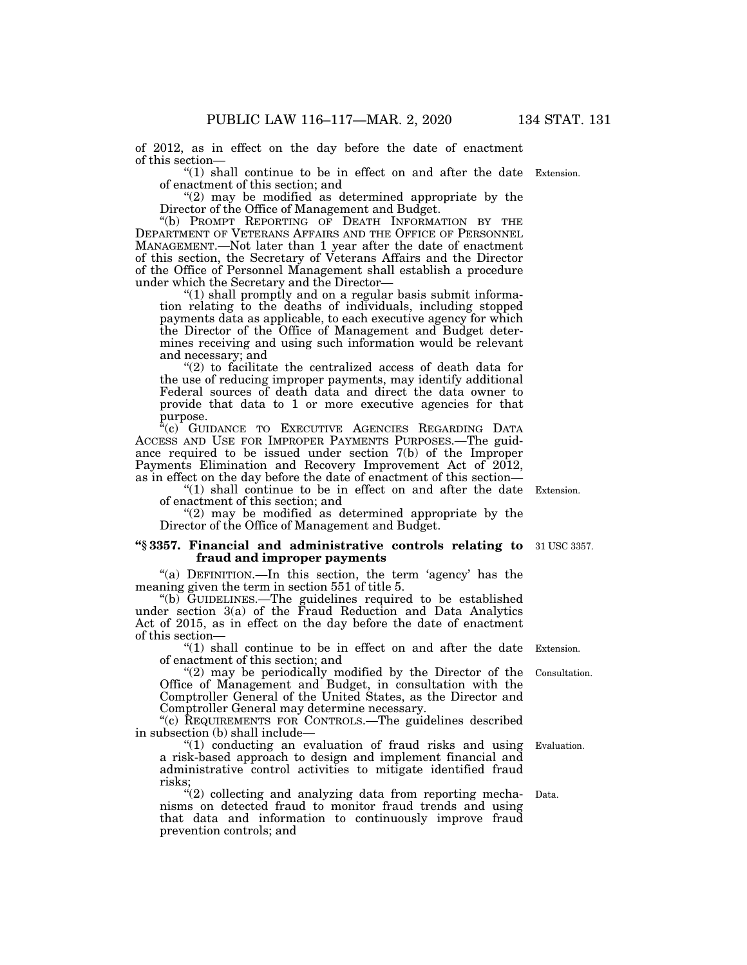of 2012, as in effect on the day before the date of enactment of this section—

" $(1)$  shall continue to be in effect on and after the date Extension. of enactment of this section; and

"(2) may be modified as determined appropriate by the Director of the Office of Management and Budget.

''(b) PROMPT REPORTING OF DEATH INFORMATION BY THE DEPARTMENT OF VETERANS AFFAIRS AND THE OFFICE OF PERSONNEL MANAGEMENT.—Not later than 1 year after the date of enactment of this section, the Secretary of Veterans Affairs and the Director of the Office of Personnel Management shall establish a procedure under which the Secretary and the Director—

"(1) shall promptly and on a regular basis submit information relating to the deaths of individuals, including stopped payments data as applicable, to each executive agency for which the Director of the Office of Management and Budget determines receiving and using such information would be relevant and necessary; and

"(2) to facilitate the centralized access of death data for the use of reducing improper payments, may identify additional Federal sources of death data and direct the data owner to provide that data to 1 or more executive agencies for that purpose.

"(c) GUIDANCE TO EXECUTIVE AGENCIES REGARDING DATA ACCESS AND USE FOR IMPROPER PAYMENTS PURPOSES.—The guidance required to be issued under section 7(b) of the Improper Payments Elimination and Recovery Improvement Act of 2012, as in effect on the day before the date of enactment of this section—

" $(1)$  shall continue to be in effect on and after the date Extension. of enactment of this section; and

" $(2)$  may be modified as determined appropriate by the Director of the Office of Management and Budget.

#### **''§ 3357. Financial and administrative controls relating to**  31 USC 3357. **fraud and improper payments**

"(a) DEFINITION.—In this section, the term 'agency' has the meaning given the term in section 551 of title 5.

''(b) GUIDELINES.—The guidelines required to be established under section 3(a) of the Fraud Reduction and Data Analytics Act of 2015, as in effect on the day before the date of enactment of this section—

" $(1)$  shall continue to be in effect on and after the date Extension. of enactment of this section; and

 $(2)$  may be periodically modified by the Director of the Office of Management and Budget, in consultation with the Comptroller General of the United States, as the Director and Comptroller General may determine necessary.

''(c) REQUIREMENTS FOR CONTROLS.—The guidelines described in subsection (b) shall include—

''(1) conducting an evaluation of fraud risks and using a risk-based approach to design and implement financial and administrative control activities to mitigate identified fraud risks;

''(2) collecting and analyzing data from reporting mechanisms on detected fraud to monitor fraud trends and using that data and information to continuously improve fraud prevention controls; and

Consultation.

Evaluation.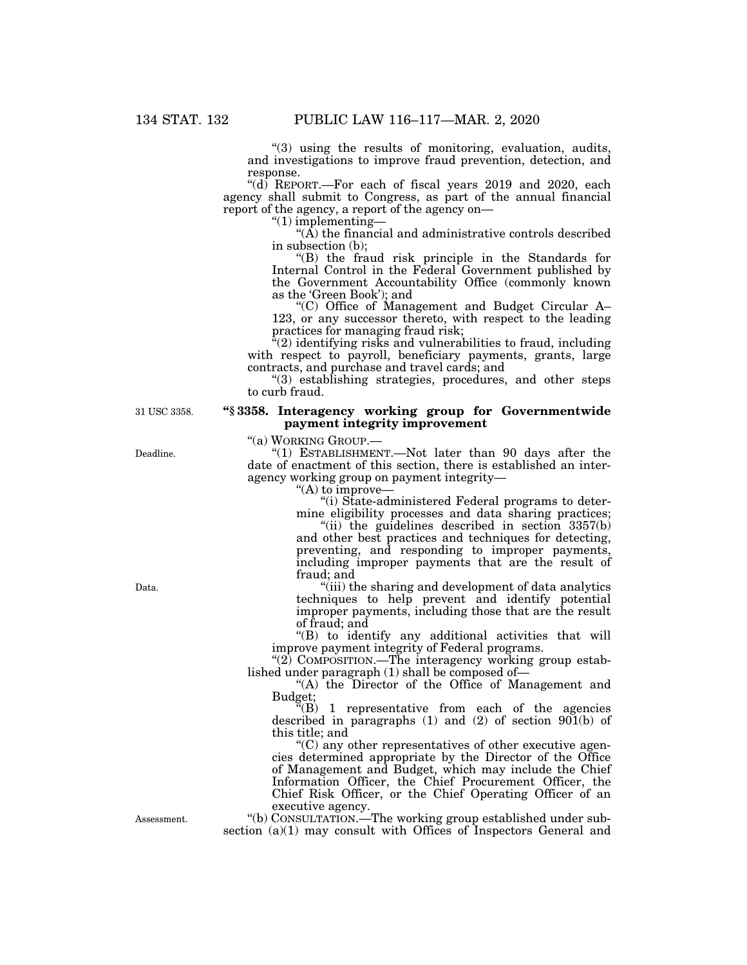"(3) using the results of monitoring, evaluation, audits, and investigations to improve fraud prevention, detection, and response.

" $(d)$  REPORT.—For each of fiscal years 2019 and 2020, each agency shall submit to Congress, as part of the annual financial report of the agency, a report of the agency on—

''(1) implementing—

 $\hat{A}$ ) the financial and administrative controls described in subsection (b);

''(B) the fraud risk principle in the Standards for Internal Control in the Federal Government published by the Government Accountability Office (commonly known as the 'Green Book'); and

''(C) Office of Management and Budget Circular A– 123, or any successor thereto, with respect to the leading practices for managing fraud risk;

''(2) identifying risks and vulnerabilities to fraud, including with respect to payroll, beneficiary payments, grants, large contracts, and purchase and travel cards; and

''(3) establishing strategies, procedures, and other steps to curb fraud.

#### **''§ 3358. Interagency working group for Governmentwide payment integrity improvement**

''(a) WORKING GROUP.—

''(1) ESTABLISHMENT.—Not later than 90 days after the date of enactment of this section, there is established an interagency working group on payment integrity—

"(A) to improve-

''(i) State-administered Federal programs to determine eligibility processes and data sharing practices;

"(ii) the guidelines described in section  $3357(b)$ and other best practices and techniques for detecting, preventing, and responding to improper payments, including improper payments that are the result of fraud; and

''(iii) the sharing and development of data analytics techniques to help prevent and identify potential improper payments, including those that are the result of fraud; and

''(B) to identify any additional activities that will improve payment integrity of Federal programs.

"(2) COMPOSITION.—The interagency working group established under paragraph (1) shall be composed of—

''(A) the Director of the Office of Management and Budget;

 $F(B)$  1 representative from each of the agencies described in paragraphs (1) and (2) of section  $901(b)$  of this title; and

 $C$ ) any other representatives of other executive agencies determined appropriate by the Director of the Office of Management and Budget, which may include the Chief Information Officer, the Chief Procurement Officer, the Chief Risk Officer, or the Chief Operating Officer of an executive agency.

''(b) CONSULTATION.—The working group established under subsection (a)(1) may consult with Offices of Inspectors General and

31 USC 3358.

Deadline.

Data.

Assessment.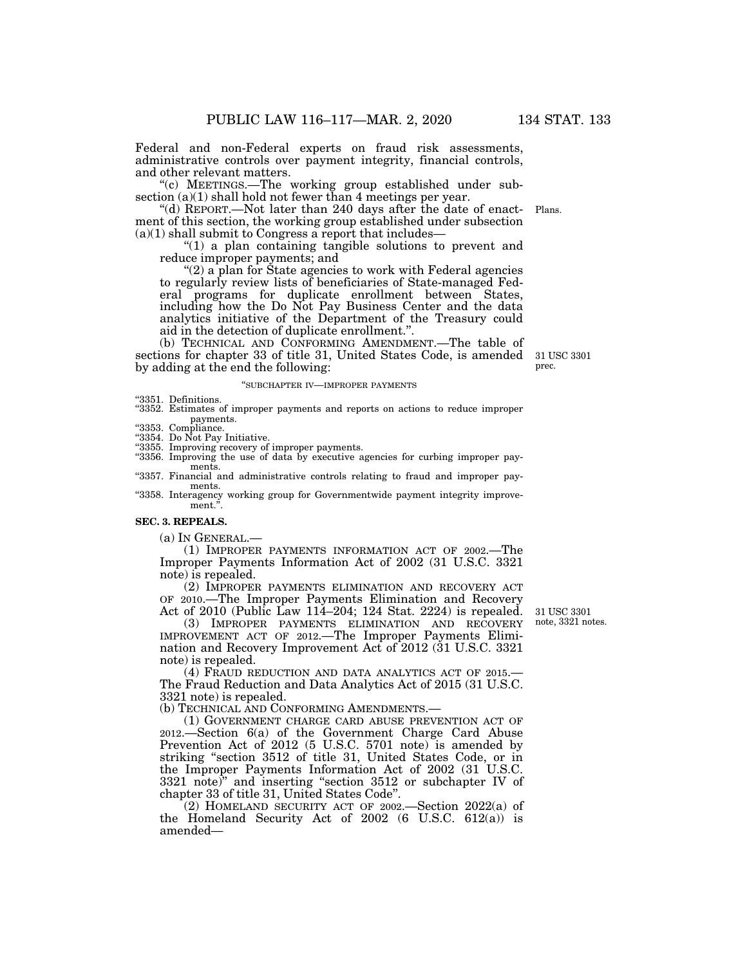Federal and non-Federal experts on fraud risk assessments, administrative controls over payment integrity, financial controls, and other relevant matters.

"(c) MEETINGS.—The working group established under subsection (a)(1) shall hold not fewer than 4 meetings per year.

''(d) REPORT.—Not later than 240 days after the date of enactment of this section, the working group established under subsection  $(a)(1)$  shall submit to Congress a report that includes— Plans.

" $(1)$  a plan containing tangible solutions to prevent and reduce improper payments; and

''(2) a plan for State agencies to work with Federal agencies to regularly review lists of beneficiaries of State-managed Federal programs for duplicate enrollment between States, including how the Do Not Pay Business Center and the data analytics initiative of the Department of the Treasury could aid in the detection of duplicate enrollment.''.

(b) TECHNICAL AND CONFORMING AMENDMENT.—The table of sections for chapter 33 of title 31, United States Code, is amended by adding at the end the following:

#### ''SUBCHAPTER IV—IMPROPER PAYMENTS

''3351. Definitions.

- ''3352. Estimates of improper payments and reports on actions to reduce improper payments.<br>
"3353. Compliance.
- 
- ''3354. Do Not Pay Initiative.
- ''3355. Improving recovery of improper payments.
- ''3356. Improving the use of data by executive agencies for curbing improper payments.
- "3357. Financial and administrative controls relating to fraud and improper payments.
- "3358. Interagency working group for Governmentwide payment integrity improvement.'

### **SEC. 3. REPEALS.**

(a) IN GENERAL.—

(1) IMPROPER PAYMENTS INFORMATION ACT OF 2002.—The Improper Payments Information Act of 2002 (31 U.S.C. 3321 note) is repealed.

(2) IMPROPER PAYMENTS ELIMINATION AND RECOVERY ACT OF 2010.—The Improper Payments Elimination and Recovery Act of 2010 (Public Law 114–204; 124 Stat. 2224) is repealed.

(3) IMPROPER PAYMENTS ELIMINATION AND RECOVERY IMPROVEMENT ACT OF 2012.—The Improper Payments Elimination and Recovery Improvement Act of 2012 (31 U.S.C. 3321 note) is repealed.

(4) FRAUD REDUCTION AND DATA ANALYTICS ACT OF 2015.— The Fraud Reduction and Data Analytics Act of 2015 (31 U.S.C. 3321 note) is repealed.

(b) TECHNICAL AND CONFORMING AMENDMENTS.—

(1) GOVERNMENT CHARGE CARD ABUSE PREVENTION ACT OF 2012.—Section 6(a) of the Government Charge Card Abuse Prevention Act of 2012 (5 U.S.C. 5701 note) is amended by striking ''section 3512 of title 31, United States Code, or in the Improper Payments Information Act of 2002 (31 U.S.C. 3321 note)'' and inserting ''section 3512 or subchapter IV of chapter 33 of title 31, United States Code''.

(2) HOMELAND SECURITY ACT OF 2002.—Section 2022(a) of the Homeland Security Act of 2002 (6 U.S.C. 612(a)) is amended—

31 USC 3301 note, 3321 notes.

31 USC 3301 prec.